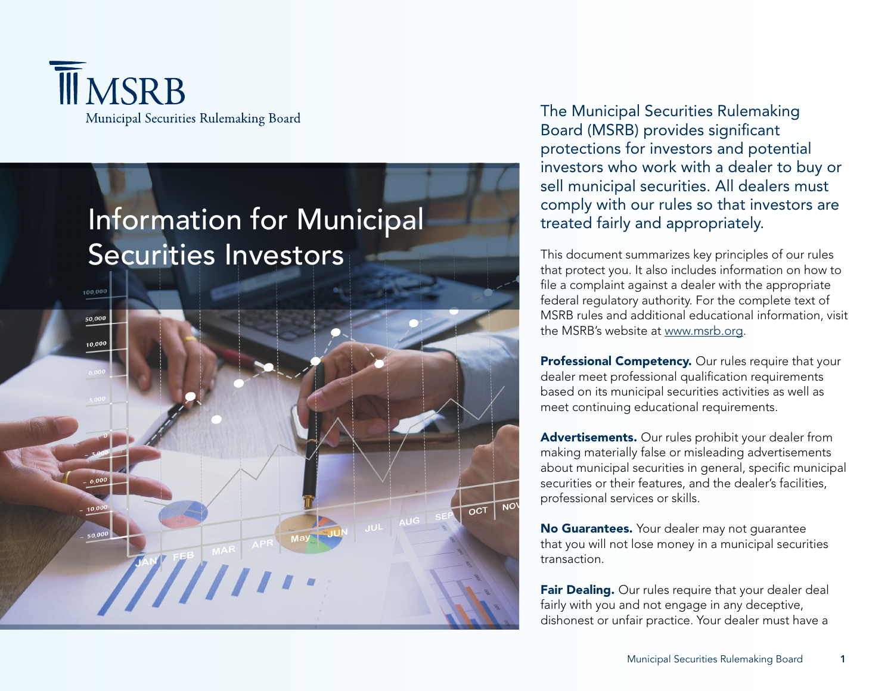



The Municipal Securities Rulemaking Board (MSRB) provides significant protections for investors and potential investors who work with a dealer to buy or sell municipal securities. All dealers must comply with our rules so that investors are treated fairly and appropriately.

This document summarizes key principles of our rules that protect you. It also includes information on how to file a complaint against a dealer with the appropriate federal regulatory authority. For the complete text of MSRB rules and additional educational information, visit the MSRB's website at [www.msrb.org](http://www.msrb.org).

Professional Competency. Our rules require that your dealer meet professional qualification requirements based on its municipal securities activities as well as meet continuing educational requirements.

Advertisements. Our rules prohibit your dealer from making materially false or misleading advertisements about municipal securities in general, specific municipal securities or their features, and the dealer's facilities, professional services or skills.

No Guarantees. Your dealer may not guarantee that you will not lose money in a municipal securities transaction.

Fair Dealing. Our rules require that your dealer deal fairly with you and not engage in any deceptive, dishonest or unfair practice. Your dealer must have a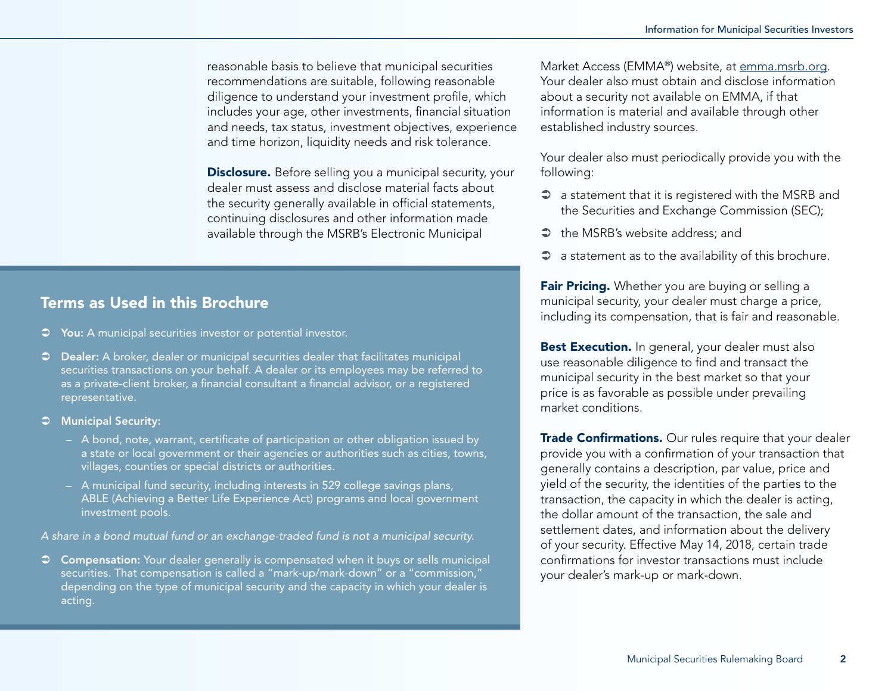reasonable basis to believe that municipal securities recommendations are suitable, following reasonable diligence to understand your investment profile, which includes your age, other investments, financial situation and needs, tax status, investment objectives, experience and time horizon, liquidity needs and risk tolerance.

**Disclosure.** Before selling you a municipal security, your dealer must assess and disclose material facts about the security generally available in official statements, continuing disclosures and other information made available through the MSRB's Electronic Municipal

# Terms as Used in this Brochure

- $\heartsuit$  You: A municipal securities investor or potential investor.
- $\heartsuit$  Dealer: A broker, dealer or municipal securities dealer that facilitates municipal securities transactions on your behalf. A dealer or its employees may be referred to as a private-client broker, a financial consultant a financial advisor, or a registered representative.
- $\supset$  Municipal Security:
	- A bond, note, warrant, certificate of participation or other obligation issued by a state or local government or their agencies or authorities such as cities, towns, villages, counties or special districts or authorities.
	- A municipal fund security, including interests in 529 college savings plans, ABLE (Achieving a Better Life Experience Act) programs and local government investment pools.

*A share in a bond mutual fund or an exchange-traded fund is not a municipal security.*

 $\heartsuit$  Compensation: Your dealer generally is compensated when it buys or sells municipal securities. That compensation is called a "mark-up/mark-down" or a "commission," depending on the type of municipal security and the capacity in which your dealer is acting.

Market Access (EMMA®) website, at [emma.msrb.org.](http://emma.msrb.org) Your dealer also must obtain and disclose information about a security not available on EMMA, if that information is material and available through other established industry sources.

Your dealer also must periodically provide you with the following:

- $\supset$  a statement that it is registered with the MSRB and the Securities and Exchange Commission (SEC);
- $\Rightarrow$  the MSRB's website address; and
- $\supset$  a statement as to the availability of this brochure.

Fair Pricing. Whether you are buying or selling a municipal security, your dealer must charge a price, including its compensation, that is fair and reasonable.

Best Execution. In general, your dealer must also use reasonable diligence to find and transact the municipal security in the best market so that your price is as favorable as possible under prevailing market conditions.

**Trade Confirmations.** Our rules require that your dealer provide you with a confirmation of your transaction that generally contains a description, par value, price and yield of the security, the identities of the parties to the transaction, the capacity in which the dealer is acting, the dollar amount of the transaction, the sale and settlement dates, and information about the delivery of your security. Effective May 14, 2018, certain trade confirmations for investor transactions must include your dealer's mark-up or mark-down.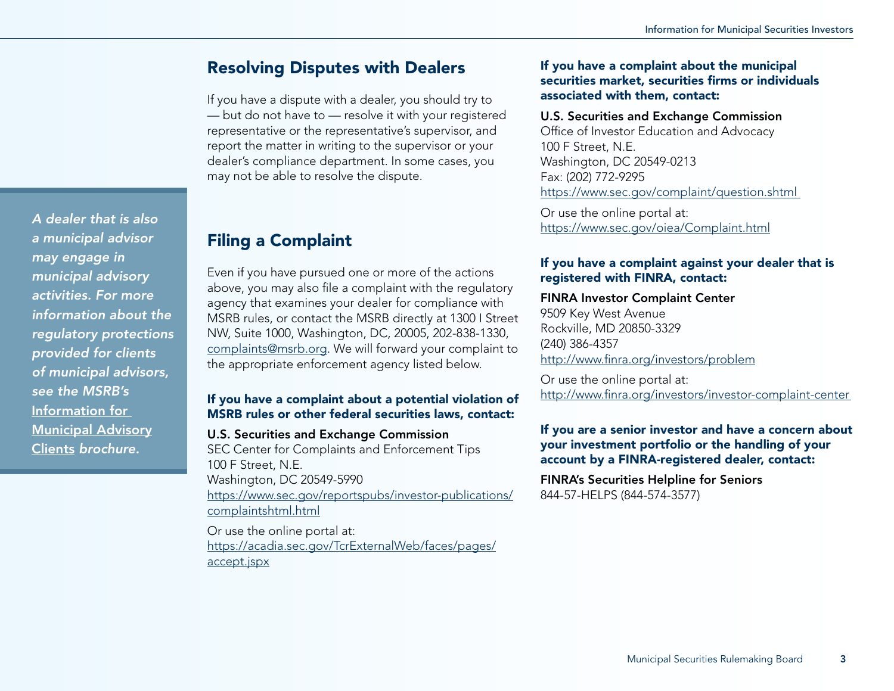# Resolving Disputes with Dealers

If you have a dispute with a dealer, you should try to — but do not have to — resolve it with your registered representative or the representative's supervisor, and report the matter in writing to the supervisor or your dealer's compliance department. In some cases, you may not be able to resolve the dispute.

#### Filing a Complaint Even if you have pursued one or more of the actions *a municipal advisor municipal advisory*

*A dealer that is also* 

*activities. For more information about the regulatory protections provided for clients of municipal advisors,* 

*may engage in* 

*see the MSRB's*  [Information for](http://www.msrb.org/~/media/Files/Resources/MSRB-MA-Clients-Brochure.ashx) 

[Municipal Advisory](http://www.msrb.org/~/media/Files/Resources/MSRB-MA-Clients-Brochure.ashx) [Clients](http://www.msrb.org/~/media/Files/Resources/MSRB-MA-Clients-Brochure.ashx) *brochure.*

above, you may also file a complaint with the regulatory agency that examines your dealer for compliance with MSRB rules, or contact the MSRB directly at 1300 I Street NW, Suite 1000, Washington, DC, 20005, 202-838-1330, [complaints@msrb.org.](mailto:complaints@msrb.org) We will forward your complaint to the appropriate enforcement agency listed below.

## If you have a complaint about a potential violation of MSRB rules or other federal securities laws, contact:

# U.S. Securities and Exchange Commission SEC Center for Complaints and Enforcement Tips 100 F Street, N.E. Washington, DC 20549-5990

[https://www.sec.gov/reportspubs/investor-publications/](https://www.sec.gov/reportspubs/investor-publications/complaintshtml.html) complaintshtml html.

Or use the online portal at: [https://acadia.sec.gov/TcrExternalWeb/faces/pages/](https://acadia.sec.gov/TcrExternalWeb/faces/pages/accept.jspx) [accept.jspx](https://acadia.sec.gov/TcrExternalWeb/faces/pages/accept.jspx)

#### If you have a complaint about the municipal securities market, securities firms or individuals associated with them, contact:

#### U.S. Securities and Exchange Commission

Office of Investor Education and Advocacy 100 F Street, N.E. Washington, DC 20549-0213 Fax: (202) 772-9295 <https://www.sec.gov/complaint/question.shtml>

Or use the online portal at: <https://www.sec.gov/oiea/Complaint.html>

## If you have a complaint against your dealer that is registered with FINRA, contact:

## FINRA Investor Complaint Center

9509 Key West Avenue Rockville, MD 20850-3329 (240) 386-4357 <http://www.finra.org/investors/problem>

Or use the online portal at: <http://www.finra.org/investors/investor-complaint-center>

#### If you are a senior investor and have a concern about your investment portfolio or the handling of your account by a FINRA-registered dealer, contact:

FINRA's Securities Helpline for Seniors 844-57-HELPS (844-574-3577)